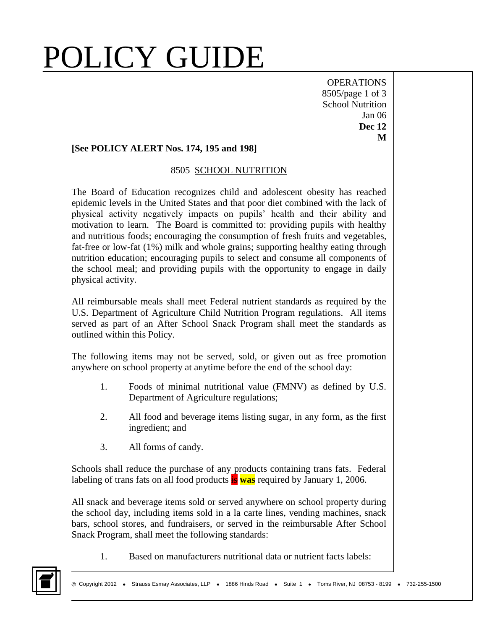### POLICY GUIDE

OPERATIONS 8505/page 1 of 3 School Nutrition Jan 06 **Dec 12 M**

### **[See POLICY ALERT Nos. 174, 195 and 198]**

#### 8505 SCHOOL NUTRITION

The Board of Education recognizes child and adolescent obesity has reached epidemic levels in the United States and that poor diet combined with the lack of physical activity negatively impacts on pupils' health and their ability and motivation to learn. The Board is committed to: providing pupils with healthy and nutritious foods; encouraging the consumption of fresh fruits and vegetables, fat-free or low-fat (1%) milk and whole grains; supporting healthy eating through nutrition education; encouraging pupils to select and consume all components of the school meal; and providing pupils with the opportunity to engage in daily physical activity.

All reimbursable meals shall meet Federal nutrient standards as required by the U.S. Department of Agriculture Child Nutrition Program regulations. All items served as part of an After School Snack Program shall meet the standards as outlined within this Policy.

The following items may not be served, sold, or given out as free promotion anywhere on school property at anytime before the end of the school day:

- 1. Foods of minimal nutritional value (FMNV) as defined by U.S. Department of Agriculture regulations;
- 2. All food and beverage items listing sugar, in any form, as the first ingredient; and
- 3. All forms of candy.

Schools shall reduce the purchase of any products containing trans fats. Federal labeling of trans fats on all food products **is was** required by January 1, 2006.

All snack and beverage items sold or served anywhere on school property during the school day, including items sold in a la carte lines, vending machines, snack bars, school stores, and fundraisers, or served in the reimbursable After School Snack Program, shall meet the following standards:

- 
- 1. Based on manufacturers nutritional data or nutrient facts labels: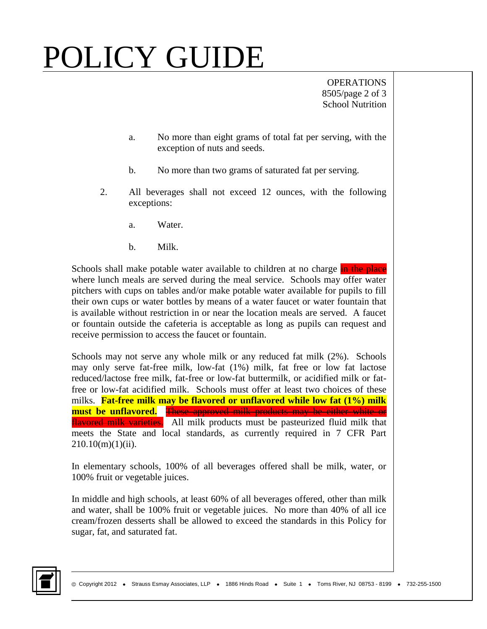# POLICY GUIDE

OPERATIONS 8505/page 2 of 3 School Nutrition

- a. No more than eight grams of total fat per serving, with the exception of nuts and seeds.
- b. No more than two grams of saturated fat per serving.
- 2. All beverages shall not exceed 12 ounces, with the following exceptions:
	- a. Water.
	- b. Milk.

Schools shall make potable water available to children at no charge in the place where lunch meals are served during the meal service. Schools may offer water pitchers with cups on tables and/or make potable water available for pupils to fill their own cups or water bottles by means of a water faucet or water fountain that is available without restriction in or near the location meals are served. A faucet or fountain outside the cafeteria is acceptable as long as pupils can request and receive permission to access the faucet or fountain.

Schools may not serve any whole milk or any reduced fat milk (2%). Schools may only serve fat-free milk, low-fat (1%) milk, fat free or low fat lactose reduced/lactose free milk, fat-free or low-fat buttermilk, or acidified milk or fatfree or low-fat acidified milk. Schools must offer at least two choices of these milks. **Fat-free milk may be flavored or unflavored while low fat (1%) milk must be unflavored.** These approved milk products may be either white or flavored milk varieties. All milk products must be pasteurized fluid milk that meets the State and local standards, as currently required in 7 CFR Part  $210.10(m)(1)(ii)$ .

In elementary schools, 100% of all beverages offered shall be milk, water, or 100% fruit or vegetable juices.

In middle and high schools, at least 60% of all beverages offered, other than milk and water, shall be 100% fruit or vegetable juices. No more than 40% of all ice cream/frozen desserts shall be allowed to exceed the standards in this Policy for sugar, fat, and saturated fat.